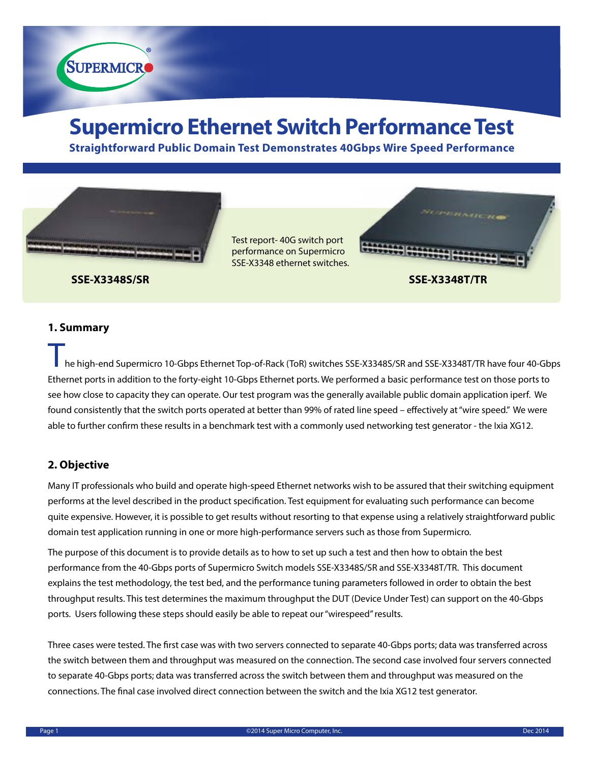

**Straightforward Public Domain Test Demonstrates 40Gbps Wire Speed Performance**



Test report- 40G switch port performance on Supermicro SSE-X3348 ethernet switches.



**SUPERMICRO** 

## **1. Summary**

he high-end Supermicro 10-Gbps Ethernet Top-of-Rack (ToR) switches SSE-X3348S/SR and SSE-X3348T/TR have four 40-Gbps Ethernet ports in addition to the forty-eight 10-Gbps Ethernet ports. We performed a basic performance test on those ports to see how close to capacity they can operate. Our test program was the generally available public domain application iperf. We found consistently that the switch ports operated at better than 99% of rated line speed – effectively at "wire speed." We were able to further confirm these results in a benchmark test with a commonly used networking test generator - the Ixia XG12.

# **2. Objective**

Many IT professionals who build and operate high-speed Ethernet networks wish to be assured that their switching equipment performs at the level described in the product specification. Test equipment for evaluating such performance can become quite expensive. However, it is possible to get results without resorting to that expense using a relatively straightforward public domain test application running in one or more high-performance servers such as those from Supermicro.

The purpose of this document is to provide details as to how to set up such a test and then how to obtain the best performance from the 40-Gbps ports of Supermicro Switch models SSE-X3348S/SR and SSE-X3348T/TR. This document explains the test methodology, the test bed, and the performance tuning parameters followed in order to obtain the best throughput results. This test determines the maximum throughput the DUT (Device Under Test) can support on the 40-Gbps ports. Users following these steps should easily be able to repeat our "wirespeed" results.

Three cases were tested. The first case was with two servers connected to separate 40-Gbps ports; data was transferred across the switch between them and throughput was measured on the connection. The second case involved four servers connected to separate 40-Gbps ports; data was transferred across the switch between them and throughput was measured on the connections. The final case involved direct connection between the switch and the Ixia XG12 test generator.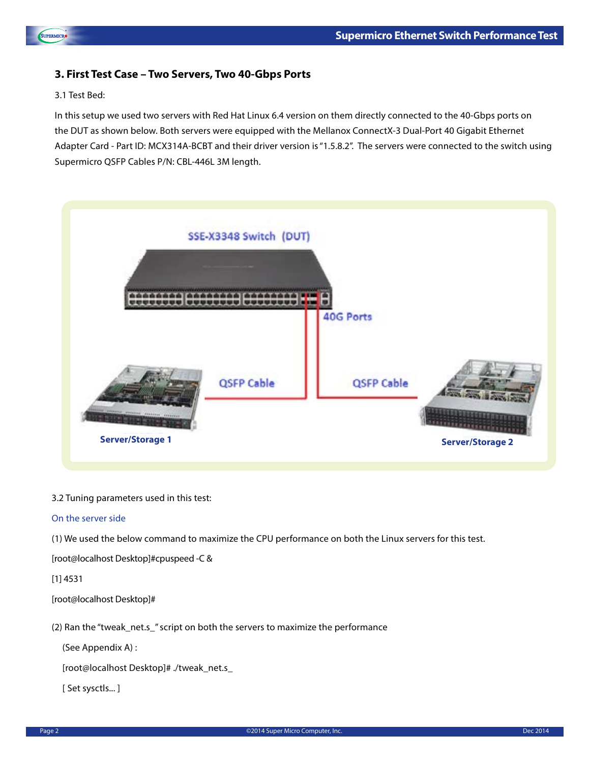



# 3.1 Test Bed:

SUPERMICRO

In this setup we used two servers with Red Hat Linux 6.4 version on them directly connected to the 40-Gbps ports on the DUT as shown below. Both servers were equipped with the Mellanox ConnectX-3 Dual-Port 40 Gigabit Ethernet Adapter Card - Part ID: MCX314A-BCBT and their driver version is "1.5.8.2". The servers were connected to the switch using Supermicro QSFP Cables P/N: CBL-446L 3M length.



3.2 Tuning parameters used in this test:

#### On the server side

(1) We used the below command to maximize the CPU performance on both the Linux servers for this test.

[root@localhost Desktop]#cpuspeed -C &

[1] 4531

[root@localhost Desktop]#

(2) Ran the "tweak\_net.s\_" script on both the servers to maximize the performance

(See Appendix A) :

[root@localhost Desktop]# ./tweak\_net.s\_

[ Set sysctls... ]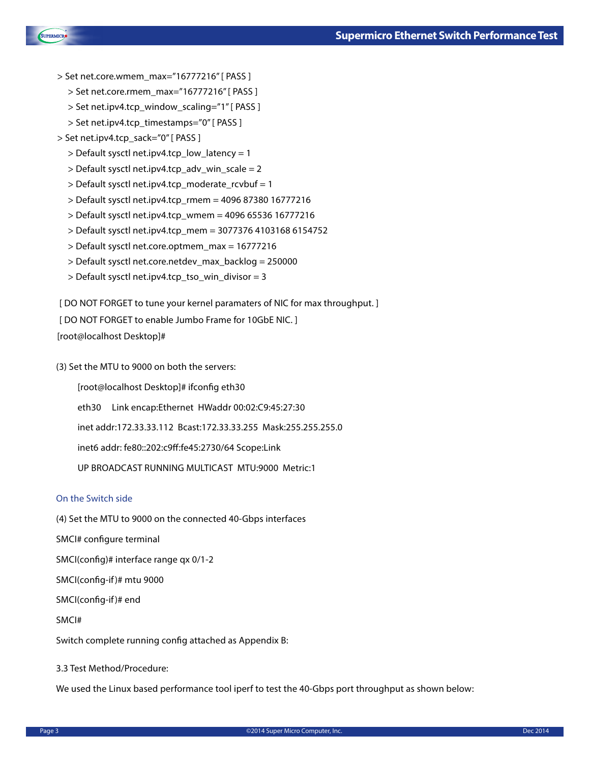

- > Set net.core.wmem\_max="16777216" [ PASS ]
	- > Set net.core.rmem\_max="16777216" [ PASS ]
	- > Set net.ipv4.tcp\_window\_scaling="1" [ PASS ]
	- > Set net.ipv4.tcp\_timestamps="0" [ PASS ]
- > Set net.ipv4.tcp\_sack="0" [ PASS ]
	- > Default sysctl net.ipv4.tcp\_low\_latency = 1
	- > Default sysctl net.ipv4.tcp\_adv\_win\_scale = 2
	- > Default sysctl net.ipv4.tcp\_moderate\_rcvbuf = 1
	- > Default sysctl net.ipv4.tcp\_rmem = 4096 87380 16777216
	- > Default sysctl net.ipv4.tcp\_wmem = 4096 65536 16777216
	- > Default sysctl net.ipv4.tcp\_mem = 3077376 4103168 6154752
	- > Default sysctl net.core.optmem\_max = 16777216
	- > Default sysctl net.core.netdev\_max\_backlog = 250000
	- > Default sysctl net.ipv4.tcp\_tso\_win\_divisor = 3

[ DO NOT FORGET to tune your kernel paramaters of NIC for max throughput. ]

[ DO NOT FORGET to enable Jumbo Frame for 10GbE NIC.]

[root@localhost Desktop]#

(3) Set the MTU to 9000 on both the servers:

[root@localhost Desktop]# ifconfig eth30

eth30 Link encap:Ethernet HWaddr 00:02:C9:45:27:30

inet addr:172.33.33.112 Bcast:172.33.33.255 Mask:255.255.255.0

inet6 addr: fe80::202:c9ff:fe45:2730/64 Scope:Link

UP BROADCAST RUNNING MULTICAST MTU:9000 Metric:1

#### On the Switch side

(4) Set the MTU to 9000 on the connected 40-Gbps interfaces

SMCI# configure terminal

SMCI(config)# interface range qx 0/1-2

SMCI(config-if )# mtu 9000

SMCI(config-if )# end

SMCI#

Switch complete running config attached as Appendix B:

3.3 Test Method/Procedure:

We used the Linux based performance tool iperf to test the 40-Gbps port throughput as shown below: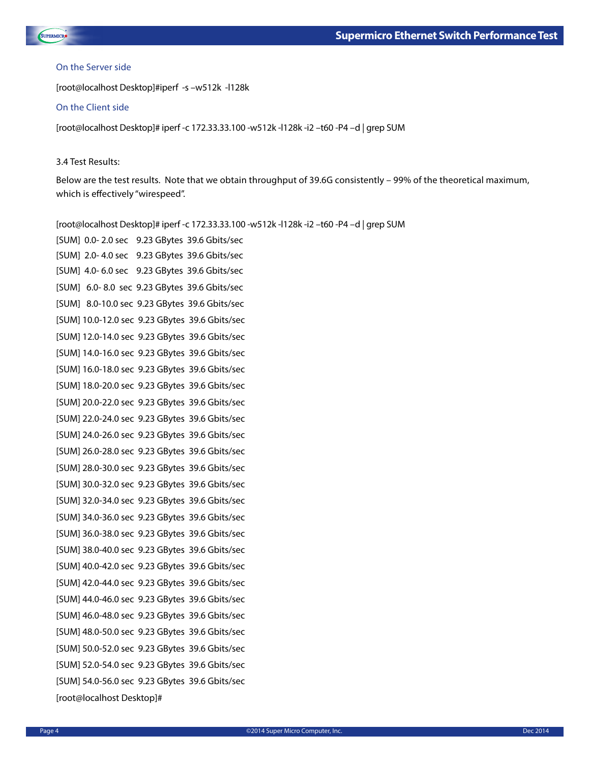

#### On the Server side

[root@localhost Desktop]#iperf -s –w512k -l128k

#### On the Client side

[root@localhost Desktop]# iperf -c 172.33.33.100 -w512k -l128k -i2 –t60 -P4 –d | grep SUM

#### 3.4 Test Results:

Below are the test results. Note that we obtain throughput of 39.6G consistently – 99% of the theoretical maximum, which is effectively "wirespeed".

[root@localhost Desktop]# iperf -c 172.33.33.100 -w512k -l128k -i2 –t60 -P4 –d | grep SUM [SUM] 0.0- 2.0 sec 9.23 GBytes 39.6 Gbits/sec [SUM] 2.0- 4.0 sec 9.23 GBytes 39.6 Gbits/sec [SUM] 4.0- 6.0 sec 9.23 GBytes 39.6 Gbits/sec [SUM] 6.0- 8.0 sec 9.23 GBytes 39.6 Gbits/sec [SUM] 8.0-10.0 sec 9.23 GBytes 39.6 Gbits/sec [SUM] 10.0-12.0 sec 9.23 GBytes 39.6 Gbits/sec [SUM] 12.0-14.0 sec 9.23 GBytes 39.6 Gbits/sec [SUM] 14.0-16.0 sec 9.23 GBytes 39.6 Gbits/sec [SUM] 16.0-18.0 sec 9.23 GBytes 39.6 Gbits/sec [SUM] 18.0-20.0 sec 9.23 GBytes 39.6 Gbits/sec [SUM] 20.0-22.0 sec 9.23 GBytes 39.6 Gbits/sec [SUM] 22.0-24.0 sec 9.23 GBytes 39.6 Gbits/sec [SUM] 24.0-26.0 sec 9.23 GBytes 39.6 Gbits/sec [SUM] 26.0-28.0 sec 9.23 GBytes 39.6 Gbits/sec [SUM] 28.0-30.0 sec 9.23 GBytes 39.6 Gbits/sec [SUM] 30.0-32.0 sec 9.23 GBytes 39.6 Gbits/sec [SUM] 32.0-34.0 sec 9.23 GBytes 39.6 Gbits/sec [SUM] 34.0-36.0 sec 9.23 GBytes 39.6 Gbits/sec [SUM] 36.0-38.0 sec 9.23 GBytes 39.6 Gbits/sec [SUM] 38.0-40.0 sec 9.23 GBytes 39.6 Gbits/sec [SUM] 40.0-42.0 sec 9.23 GBytes 39.6 Gbits/sec [SUM] 42.0-44.0 sec 9.23 GBytes 39.6 Gbits/sec [SUM] 44.0-46.0 sec 9.23 GBytes 39.6 Gbits/sec [SUM] 46.0-48.0 sec 9.23 GBytes 39.6 Gbits/sec [SUM] 48.0-50.0 sec 9.23 GBytes 39.6 Gbits/sec [SUM] 50.0-52.0 sec 9.23 GBytes 39.6 Gbits/sec [SUM] 52.0-54.0 sec 9.23 GBytes 39.6 Gbits/sec [SUM] 54.0-56.0 sec 9.23 GBytes 39.6 Gbits/sec [root@localhost Desktop]#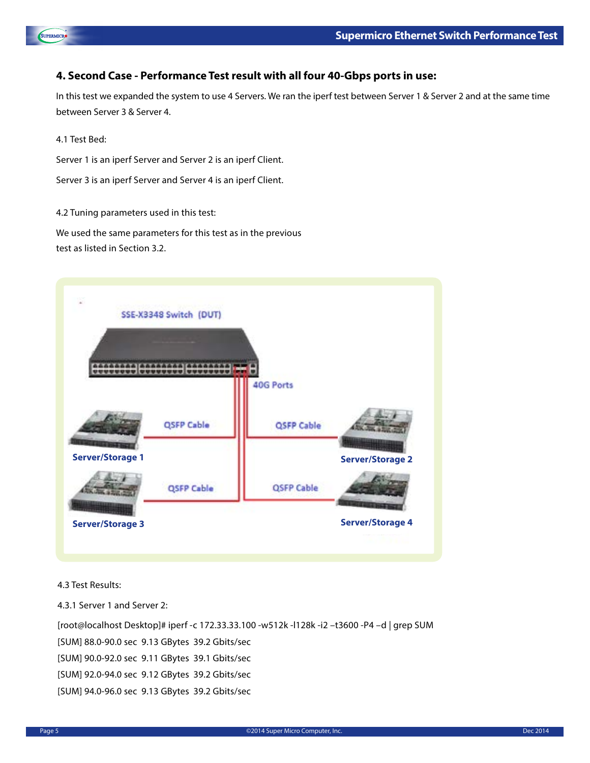

# **4. Second Case - Performance Test result with all four 40-Gbps ports in use:**

In this test we expanded the system to use 4 Servers. We ran the iperf test between Server 1 & Server 2 and at the same time between Server 3 & Server 4.

4.1 Test Bed:

SUPERMICRO

Server 1 is an iperf Server and Server 2 is an iperf Client.

Server 3 is an iperf Server and Server 4 is an iperf Client.

4.2 Tuning parameters used in this test:

We used the same parameters for this test as in the previous test as listed in Section 3.2.



4.3 Test Results:

4.3.1 Server 1 and Server 2:

[root@localhost Desktop]# iperf -c 172.33.33.100 -w512k -l128k -i2 –t3600 -P4 –d | grep SUM [SUM] 88.0-90.0 sec 9.13 GBytes 39.2 Gbits/sec [SUM] 90.0-92.0 sec 9.11 GBytes 39.1 Gbits/sec [SUM] 92.0-94.0 sec 9.12 GBytes 39.2 Gbits/sec [SUM] 94.0-96.0 sec 9.13 GBytes 39.2 Gbits/sec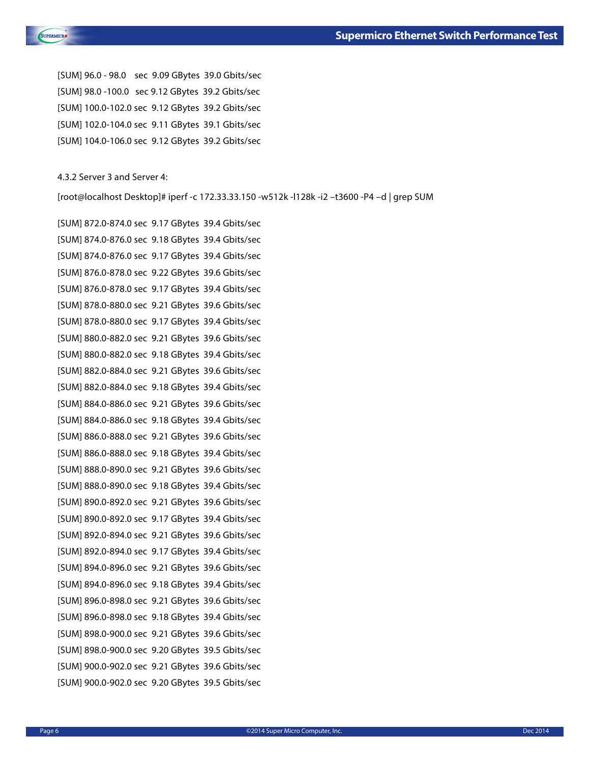

[SUM] 96.0 - 98.0 sec 9.09 GBytes 39.0 Gbits/sec [SUM] 98.0 -100.0 sec 9.12 GBytes 39.2 Gbits/sec [SUM] 100.0-102.0 sec 9.12 GBytes 39.2 Gbits/sec [SUM] 102.0-104.0 sec 9.11 GBytes 39.1 Gbits/sec [SUM] 104.0-106.0 sec 9.12 GBytes 39.2 Gbits/sec

4.3.2 Server 3 and Server 4:

[root@localhost Desktop]# iperf -c 172.33.33.150 -w512k -l128k -i2 –t3600 -P4 –d | grep SUM

[SUM] 872.0-874.0 sec 9.17 GBytes 39.4 Gbits/sec [SUM] 874.0-876.0 sec 9.18 GBytes 39.4 Gbits/sec [SUM] 874.0-876.0 sec 9.17 GBytes 39.4 Gbits/sec [SUM] 876.0-878.0 sec 9.22 GBytes 39.6 Gbits/sec [SUM] 876.0-878.0 sec 9.17 GBytes 39.4 Gbits/sec [SUM] 878.0-880.0 sec 9.21 GBytes 39.6 Gbits/sec [SUM] 878.0-880.0 sec 9.17 GBytes 39.4 Gbits/sec [SUM] 880.0-882.0 sec 9.21 GBytes 39.6 Gbits/sec [SUM] 880.0-882.0 sec 9.18 GBytes 39.4 Gbits/sec [SUM] 882.0-884.0 sec 9.21 GBytes 39.6 Gbits/sec [SUM] 882.0-884.0 sec 9.18 GBytes 39.4 Gbits/sec [SUM] 884.0-886.0 sec 9.21 GBytes 39.6 Gbits/sec [SUM] 884.0-886.0 sec 9.18 GBytes 39.4 Gbits/sec [SUM] 886.0-888.0 sec 9.21 GBytes 39.6 Gbits/sec [SUM] 886.0-888.0 sec 9.18 GBytes 39.4 Gbits/sec [SUM] 888.0-890.0 sec 9.21 GBytes 39.6 Gbits/sec [SUM] 888.0-890.0 sec 9.18 GBytes 39.4 Gbits/sec [SUM] 890.0-892.0 sec 9.21 GBytes 39.6 Gbits/sec [SUM] 890.0-892.0 sec 9.17 GBytes 39.4 Gbits/sec [SUM] 892.0-894.0 sec 9.21 GBytes 39.6 Gbits/sec [SUM] 892.0-894.0 sec 9.17 GBytes 39.4 Gbits/sec [SUM] 894.0-896.0 sec 9.21 GBytes 39.6 Gbits/sec [SUM] 894.0-896.0 sec 9.18 GBytes 39.4 Gbits/sec [SUM] 896.0-898.0 sec 9.21 GBytes 39.6 Gbits/sec [SUM] 896.0-898.0 sec 9.18 GBytes 39.4 Gbits/sec [SUM] 898.0-900.0 sec 9.21 GBytes 39.6 Gbits/sec [SUM] 898.0-900.0 sec 9.20 GBytes 39.5 Gbits/sec [SUM] 900.0-902.0 sec 9.21 GBytes 39.6 Gbits/sec [SUM] 900.0-902.0 sec 9.20 GBytes 39.5 Gbits/sec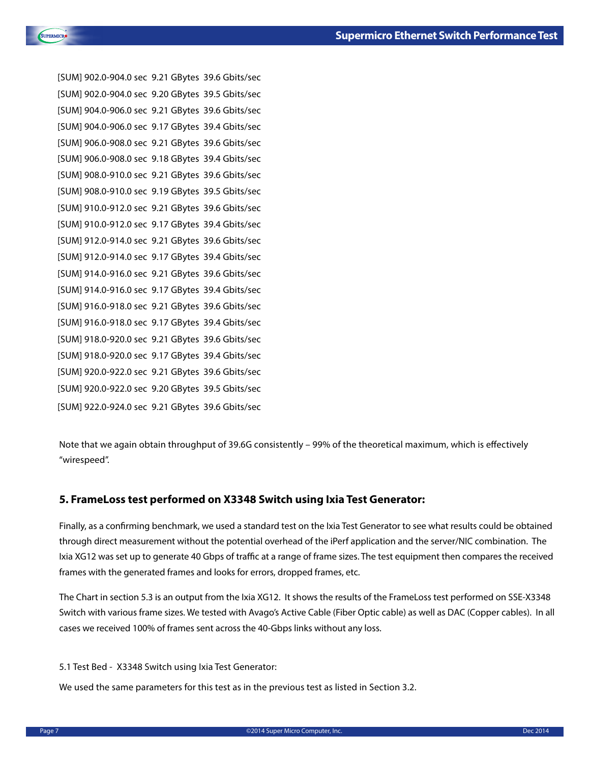

```
[SUM] 902.0-904.0 sec 9.21 GBytes 39.6 Gbits/sec
[SUM] 902.0-904.0 sec 9.20 GBytes 39.5 Gbits/sec
[SUM] 904.0-906.0 sec 9.21 GBytes 39.6 Gbits/sec
[SUM] 904.0-906.0 sec 9.17 GBytes 39.4 Gbits/sec
[SUM] 906.0-908.0 sec 9.21 GBytes 39.6 Gbits/sec
[SUM] 906.0-908.0 sec 9.18 GBytes 39.4 Gbits/sec
[SUM] 908.0-910.0 sec 9.21 GBytes 39.6 Gbits/sec
[SUM] 908.0-910.0 sec 9.19 GBytes 39.5 Gbits/sec
[SUM] 910.0-912.0 sec 9.21 GBytes 39.6 Gbits/sec
[SUM] 910.0-912.0 sec 9.17 GBytes 39.4 Gbits/sec
[SUM] 912.0-914.0 sec 9.21 GBytes 39.6 Gbits/sec
[SUM] 912.0-914.0 sec 9.17 GBytes 39.4 Gbits/sec
[SUM] 914.0-916.0 sec 9.21 GBytes 39.6 Gbits/sec
[SUM] 914.0-916.0 sec 9.17 GBytes 39.4 Gbits/sec
[SUM] 916.0-918.0 sec 9.21 GBytes 39.6 Gbits/sec
[SUM] 916.0-918.0 sec 9.17 GBytes 39.4 Gbits/sec
[SUM] 918.0-920.0 sec 9.21 GBytes 39.6 Gbits/sec
[SUM] 918.0-920.0 sec 9.17 GBytes 39.4 Gbits/sec
[SUM] 920.0-922.0 sec 9.21 GBytes 39.6 Gbits/sec
[SUM] 920.0-922.0 sec 9.20 GBytes 39.5 Gbits/sec
[SUM] 922.0-924.0 sec 9.21 GBytes 39.6 Gbits/sec
```
Note that we again obtain throughput of 39.6G consistently – 99% of the theoretical maximum, which is effectively "wirespeed".

## **5. FrameLoss test performed on X3348 Switch using Ixia Test Generator:**

Finally, as a confirming benchmark, we used a standard test on the Ixia Test Generator to see what results could be obtained through direct measurement without the potential overhead of the iPerf application and the server/NIC combination. The Ixia XG12 was set up to generate 40 Gbps of traffic at a range of frame sizes. The test equipment then compares the received frames with the generated frames and looks for errors, dropped frames, etc.

The Chart in section 5.3 is an output from the Ixia XG12. It shows the results of the FrameLoss test performed on SSE-X3348 Switch with various frame sizes. We tested with Avago's Active Cable (Fiber Optic cable) as well as DAC (Copper cables). In all cases we received 100% of frames sent across the 40-Gbps links without any loss.

5.1 Test Bed - X3348 Switch using Ixia Test Generator:

We used the same parameters for this test as in the previous test as listed in Section 3.2.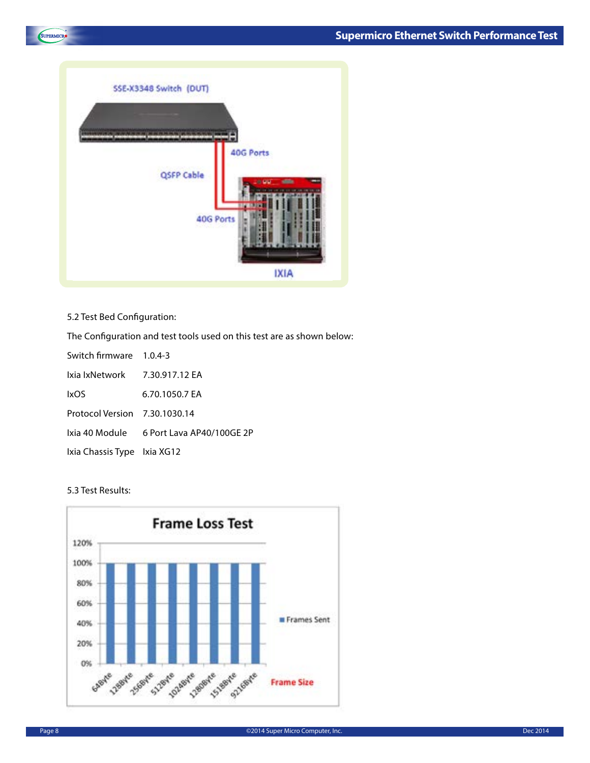



# 5.2 Test Bed Configuration:

The Configuration and test tools used on this test are as shown below:

| Switch firmware 1.0.4-3       |                                          |
|-------------------------------|------------------------------------------|
| Ixia IxNetwork 7.30.917.12 EA |                                          |
| <b>IxOS</b>                   | 6.70.1050.7 EA                           |
| Protocol Version 7.30.1030.14 |                                          |
|                               | Ixia 40 Module 6 Port Lava AP40/100GE 2P |
| Ixia Chassis Type Ixia XG12   |                                          |

## 5.3 Test Results:

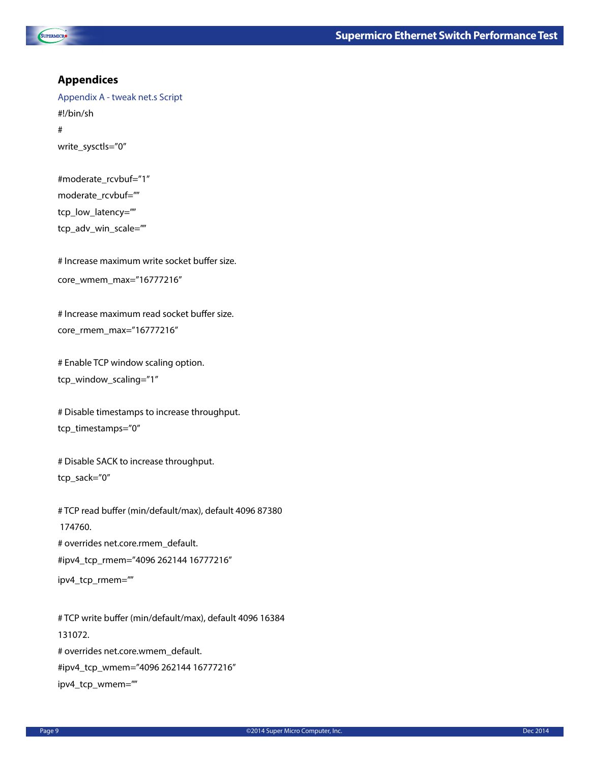



# **Appendices**

Appendix A - tweak net.s Script #!/bin/sh # write\_sysctls="0"

```
#moderate_rcvbuf="1"
moderate_rcvbuf=""
tcp_low_latency=""
tcp_adv_win_scale=""
```
# Increase maximum write socket buffer size. core\_wmem\_max="16777216"

# Increase maximum read socket buffer size. core\_rmem\_max="16777216"

# Enable TCP window scaling option. tcp\_window\_scaling="1"

# Disable timestamps to increase throughput. tcp\_timestamps="0"

# Disable SACK to increase throughput. tcp\_sack="0"

# TCP read buffer (min/default/max), default 4096 87380 174760. # overrides net.core.rmem\_default. #ipv4\_tcp\_rmem="4096 262144 16777216" ipv4\_tcp\_rmem=""

# TCP write buffer (min/default/max), default 4096 16384 131072. # overrides net.core.wmem\_default. #ipv4\_tcp\_wmem="4096 262144 16777216" ipv4\_tcp\_wmem=""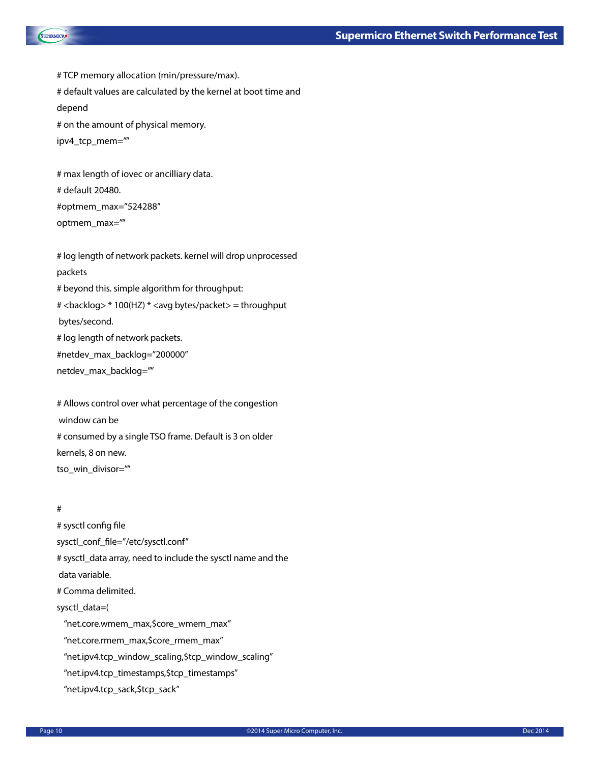

# TCP memory allocation (min/pressure/max). # default values are calculated by the kernel at boot time and depend # on the amount of physical memory. ipv4\_tcp\_mem=""

# max length of iovec or ancilliary data. # default 20480. #optmem\_max="524288" optmem\_max=""

# log length of network packets. kernel will drop unprocessed packets # beyond this. simple algorithm for throughput: # <backlog> \* 100(HZ) \* <avg bytes/packet> = throughput bytes/second. # log length of network packets. #netdev\_max\_backlog="200000" netdev\_max\_backlog=""

# Allows control over what percentage of the congestion window can be # consumed by a single TSO frame. Default is 3 on older kernels, 8 on new. tso\_win\_divisor=""

## #

# sysctl config file sysctl\_conf\_file="/etc/sysctl.conf" # sysctl\_data array, need to include the sysctl name and the data variable. # Comma delimited. sysctl\_data=( "net.core.wmem\_max,\$core\_wmem\_max" "net.core.rmem\_max,\$core\_rmem\_max" "net.ipv4.tcp\_window\_scaling,\$tcp\_window\_scaling" "net.ipv4.tcp\_timestamps,\$tcp\_timestamps" "net.ipv4.tcp\_sack,\$tcp\_sack"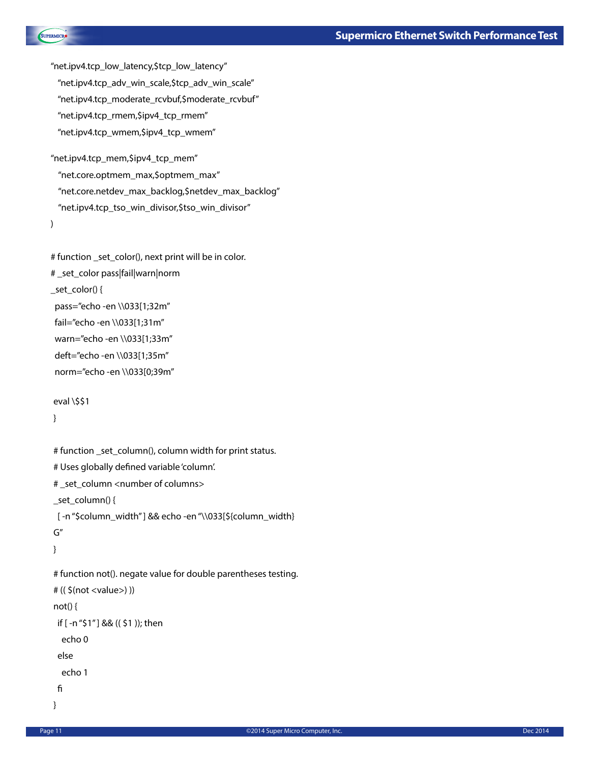```
"net.ipv4.tcp_low_latency,$tcp_low_latency"
  "net.ipv4.tcp_adv_win_scale,$tcp_adv_win_scale"
  "net.ipv4.tcp_moderate_rcvbuf,$moderate_rcvbuf"
  "net.ipv4.tcp_rmem,$ipv4_tcp_rmem"
  "net.ipv4.tcp_wmem,$ipv4_tcp_wmem"
```
"net.ipv4.tcp\_mem,\$ipv4\_tcp\_mem" "net.core.optmem\_max,\$optmem\_max" "net.core.netdev\_max\_backlog,\$netdev\_max\_backlog" "net.ipv4.tcp\_tso\_win\_divisor,\$tso\_win\_divisor" )

```
# function _set_color(), next print will be in color.
# _set_color pass|fail|warn|norm
_set_color() {
 pass="echo -en \\033[1;32m"
 fail="echo -en \\033[1;31m"
 warn="echo -en \\033[1;33m"
  deft="echo -en \\033[1;35m"
  norm="echo -en \\033[0;39m"
```

```
eval \$$1
}
```
**SUPERMICRO** 

```
# function _set_column(), column width for print status.
# Uses globally defined variable 'column'.
# _set_column <number of columns>
_set_column() {
 [ -n "$column_width" ] && echo -en "\\033[${column_width}
G"
}
# function not(). negate value for double parentheses testing.
# (( $(not <value>) ))
not() {
  if [ -n "$1" ] && (( $1 )); then
   echo 0
  else
   echo 1
  fi
}
```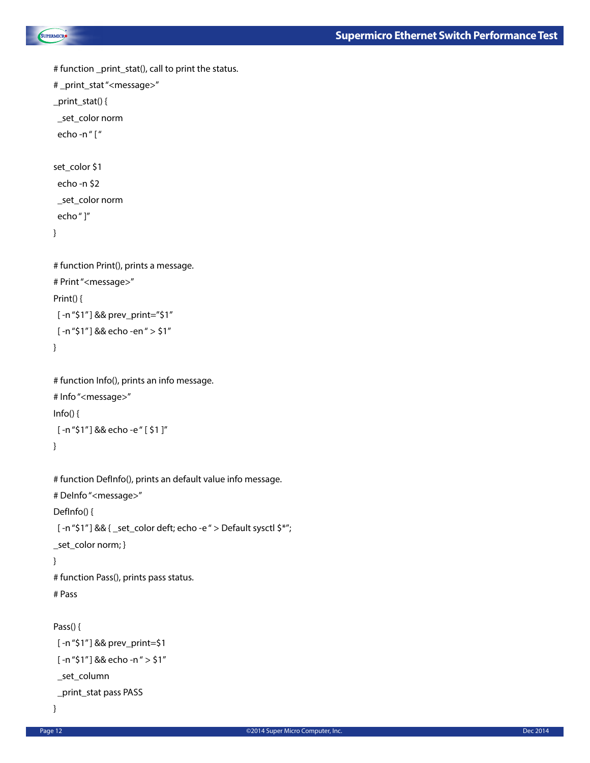```
SUPERMICRO
```

```
# function _print_stat(), call to print the status.
# _print_stat "<message>"
_print_stat() {
  _set_color norm
  echo -n " [ "
set_color $1
  echo -n $2
  _set_color norm
  echo " ]"
}
# function Print(), prints a message.
# Print "<message>"
Print() {
  [ -n "$1" ] && prev_print="$1"
  [ -n "$1" ] && echo -en " > $1"
}
# function Info(), prints an info message.
# Info "<message>"
Info() {
  [ -n "$1" ] && echo -e " [ $1 ]"
}
# function DefInfo(), prints an default value info message.
# DeInfo "<message>"
DefInfo() {
  [ -n "$1" ] && { _set_color deft; echo -e " > Default sysctl $*"; 
_set_color norm; }
}
# function Pass(), prints pass status.
# Pass
```

```
Pass() {
```

```
 [ -n "$1" ] && prev_print=$1
  [ -n "$1" ] && echo -n " > $1"
  _set_column
  _print_stat pass PASS
}
```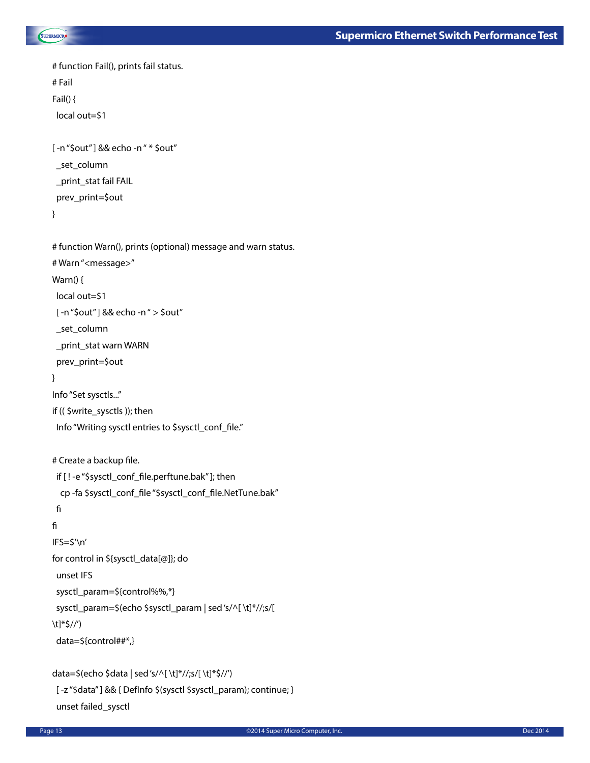

```
# function Fail(), prints fail status.
# Fail
Fail() {
 local out=$1 
[ -n "$out" ] && echo -n " * $out"
  _set_column
  _print_stat fail FAIL
  prev_print=$out
}
# function Warn(), prints (optional) message and warn status.
# Warn "<message>"
Warn() {
 local out=$1
  [ -n "$out" ] && echo -n " > $out"
  _set_column
  _print_stat warn WARN
  prev_print=$out
}
Info "Set sysctls..."
if (( $write_sysctls )); then
 Info "Writing sysctl entries to $sysctl_conf_file."
# Create a backup file.
  if [ ! -e "$sysctl_conf_file.perftune.bak" ]; then
   cp -fa $sysctl_conf_file "$sysctl_conf_file.NetTune.bak"
 fi
fi
IFS=$'\n'
for control in ${sysctl_data[@]}; do
  unset IFS
  sysctl_param=${control%%,*}
  sysctl_param=$(echo $sysctl_param | sed 's/^[ \t]*//;s/[ 
\t]*$//')
  data=${control##*,}
data=$(echo $data | sed 's/^[ \t]*//;s/[ \t]*$//')
```
[-z"\$data"] && { DefInfo \$(sysctl \$sysctl\_param); continue; } unset failed\_sysctl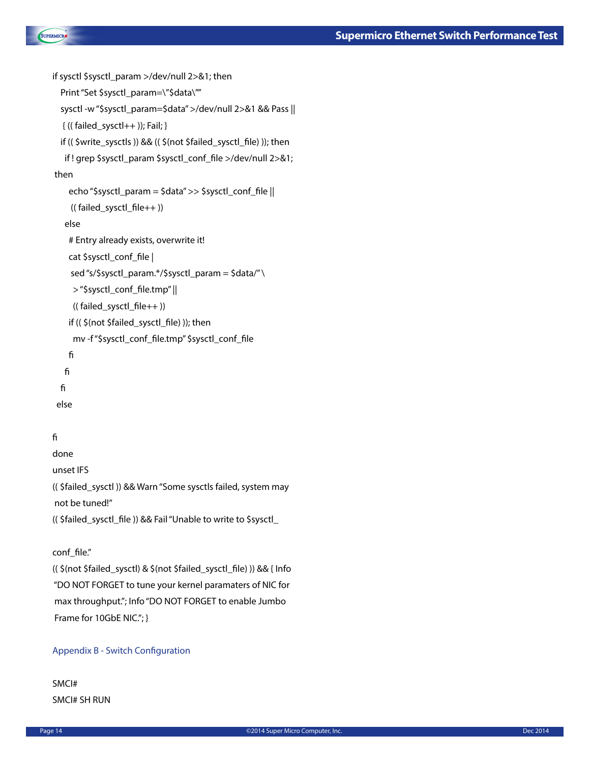```
SUPERMICRO
```

```
if sysctl $sysctl_param >/dev/null 2>&1; then
  Print "Set $sysctl_param=\"$data\""
   sysctl -w "$sysctl_param=$data" >/dev/null 2>&1 && Pass ||
   { (( failed_sysctl++ )); Fail; }
   if (( $write_sysctls )) && (( $(not $failed_sysctl_file) )); then
    if ! grep $sysctl_param $sysctl_conf_file >/dev/null 2>&1;
 then
     echo "$sysctl_param = $data" >> $sysctl_conf_file ||
      (( failed_sysctl_file++ ))
    else
     # Entry already exists, overwrite it!
     cat $sysctl_conf_file |
      sed "s/$sysctl_param.*/$sysctl_param = $data/" \
      > "$sysctl_conf_file.tmp" ||
      (( failed_sysctl_file++ ))
     if (( $(not $failed_sysctl_file) )); then
      mv -f "$sysctl_conf_file.tmp" $sysctl_conf_file
     fi
    fi
   fi
  else
```
# fi

done unset IFS (( \$failed\_sysctl )) && Warn "Some sysctls failed, system may not be tuned!" (( \$failed\_sysctl\_file )) && Fail "Unable to write to \$sysctl\_

# conf\_file."

(( \$(not \$failed\_sysctl) & \$(not \$failed\_sysctl\_file) )) && { Info "DO NOT FORGET to tune your kernel paramaters of NIC for max throughput."; Info "DO NOT FORGET to enable Jumbo Frame for 10GbE NIC."; }

### Appendix B - Switch Configuration

# SMCI# SMCI# SH RUN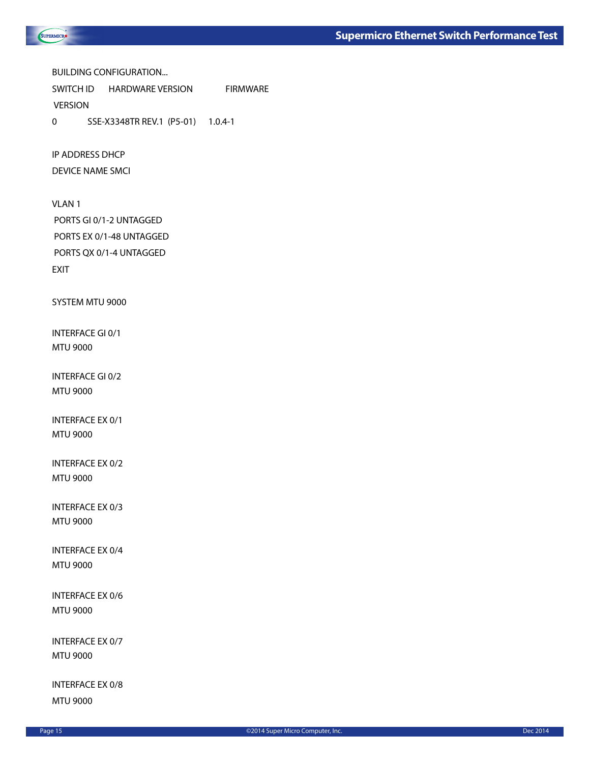

BUILDING CONFIGURATION...

SWITCH ID HARDWARE VERSION FIRMWARE **VERSION** 

0 SSE-X3348TR REV.1 (P5-01) 1.0.4-1

IP ADDRESS DHCP

DEVICE NAME SMCI

VLAN 1 PORTS GI 0/1-2 UNTAGGED PORTS EX 0/1-48 UNTAGGED PORTS QX 0/1-4 UNTAGGED EXIT

SYSTEM MTU 9000

INTERFACE GI 0/1 MTU 9000

INTERFACE GI 0/2 MTU 9000

INTERFACE EX 0/1 MTU 9000

INTERFACE EX 0/2 MTU 9000

INTERFACE EX 0/3 MTU 9000

INTERFACE EX 0/4 MTU 9000

INTERFACE EX 0/6 MTU 9000

INTERFACE EX 0/7 MTU 9000

INTERFACE EX 0/8 MTU 9000